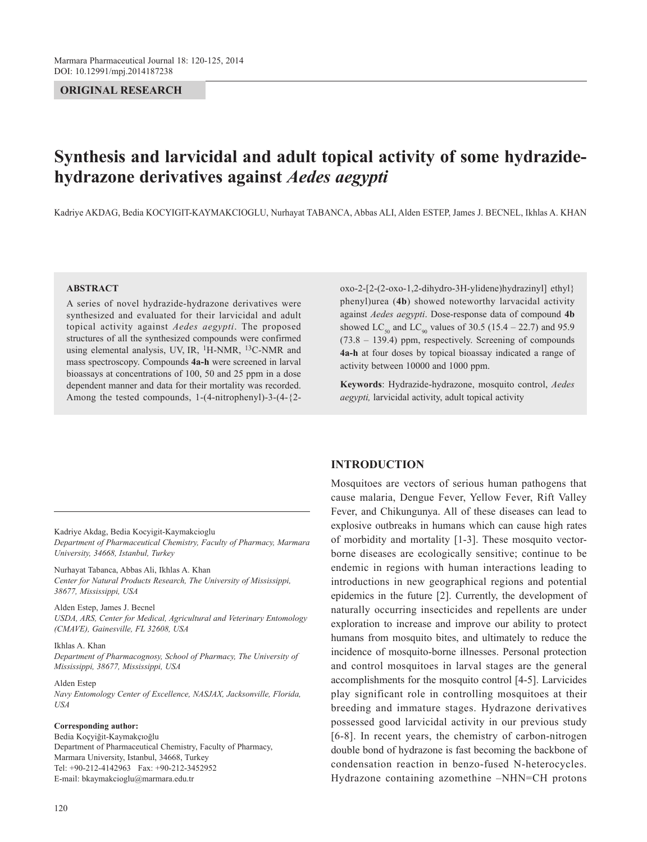# **ORIGINAL RESEARCH**

# **Synthesis and larvicidal and adult topical activity of some hydrazidehydrazone derivatives against** *Aedes aegypti*

Kadriye AKDAG, Bedia KOCYIGIT-KAYMAKCIOGLU, Nurhayat TABANCA, Abbas ALI, Alden ESTEP, James J. BECNEL, Ikhlas A. KHAN

#### **ABSTRACT**

A series of novel hydrazide-hydrazone derivatives were synthesized and evaluated for their larvicidal and adult topical activity against *Aedes aegypti*. The proposed structures of all the synthesized compounds were confirmed using elemental analysis, UV, IR,  ${}^{1}$ H-NMR,  ${}^{13}$ C-NMR and mass spectroscopy. Compounds **4a-h** were screened in larval bioassays at concentrations of 100, 50 and 25 ppm in a dose dependent manner and data for their mortality was recorded. Among the tested compounds, 1-(4-nitrophenyl)-3-(4-{2-

Kadriye Akdag, Bedia Kocyigit-Kaymakcioglu *Department of Pharmaceutical Chemistry, Faculty of Pharmacy, Marmara* 

*University, 34668, Istanbul, Turkey* Nurhayat Tabanca, Abbas Ali, Ikhlas A. Khan

*Center for Natural Products Research, The University of Mississippi, 38677, Mississippi, USA*

Alden Estep, James J. Becnel *USDA, ARS, Center for Medical, Agricultural and Veterinary Entomology (CMAVE), Gainesville, FL 32608, USA*

#### Ikhlas A. Khan

*Department of Pharmacognosy, School of Pharmacy, The University of Mississippi, 38677, Mississippi, USA*

## Alden Estep

*Navy Entomology Center of Excellence, NASJAX, Jacksonville, Florida, USA*

#### **Corresponding author:**

Bedia Koçyiğit-Kaymakçıoğlu Department of Pharmaceutical Chemistry, Faculty of Pharmacy, Marmara University, Istanbul, 34668, Turkey Tel: +90-212-4142963 Fax: +90-212-3452952 E-mail: bkaymakcioglu@marmara.edu.tr

oxo-2-[2-(2-oxo-1,2-dihydro-3H-ylidene)hydrazinyl] ethyl} phenyl)urea (**4b**) showed noteworthy larvacidal activity against *Aedes aegypti*. Dose-response data of compound **4b** showed LC<sub>50</sub> and LC<sub>90</sub> values of 30.5 (15.4 – 22.7) and 95.9 (73.8 – 139.4) ppm, respectively. Screening of compounds **4a-h** at four doses by topical bioassay indicated a range of activity between 10000 and 1000 ppm.

**Keywords**: Hydrazide-hydrazone, mosquito control, *Aedes aegypti,* larvicidal activity, adult topical activity

# **INTRODUCTION**

Mosquitoes are vectors of serious human pathogens that cause malaria, Dengue Fever, Yellow Fever, Rift Valley Fever, and Chikungunya. All of these diseases can lead to explosive outbreaks in humans which can cause high rates of morbidity and mortality [1-3]. These mosquito vectorborne diseases are ecologically sensitive; continue to be endemic in regions with human interactions leading to introductions in new geographical regions and potential epidemics in the future [2]. Currently, the development of naturally occurring insecticides and repellents are under exploration to increase and improve our ability to protect humans from mosquito bites, and ultimately to reduce the incidence of mosquito-borne illnesses. Personal protection and control mosquitoes in larval stages are the general accomplishments for the mosquito control [4-5]. Larvicides play significant role in controlling mosquitoes at their breeding and immature stages. Hydrazone derivatives possessed good larvicidal activity in our previous study [6-8]. In recent years, the chemistry of carbon-nitrogen double bond of hydrazone is fast becoming the backbone of condensation reaction in benzo-fused N-heterocycles. Hydrazone containing azomethine –NHN=CH protons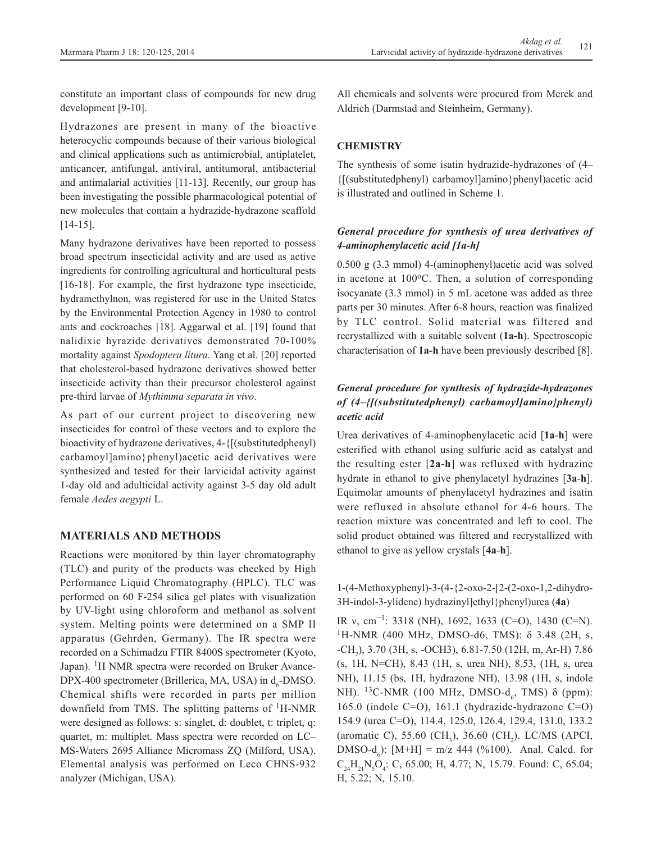constitute an important class of compounds for new drug development [9-10].

Hydrazones are present in many of the bioactive heterocyclic compounds because of their various biological and clinical applications such as antimicrobial, antiplatelet, anticancer, antifungal, antiviral, antitumoral, antibacterial and antimalarial activities [11-13]. Recently, our group has been investigating the possible pharmacological potential of new molecules that contain a hydrazide-hydrazone scaffold [14-15].

Many hydrazone derivatives have been reported to possess broad spectrum insecticidal activity and are used as active ingredients for controlling agricultural and horticultural pests [16-18]. For example, the first hydrazone type insecticide, hydramethylnon, was registered for use in the United States by the Environmental Protection Agency in 1980 to control ants and cockroaches [18]. Aggarwal et al. [19] found that nalidixic hyrazide derivatives demonstrated 70-100% mortality against *Spodoptera litura*. Yang et al. [20] reported that cholesterol-based hydrazone derivatives showed better insecticide activity than their precursor cholesterol against pre-third larvae of *Mythimma separata in vivo*.

As part of our current project to discovering new insecticides for control of these vectors and to explore the bioactivity of hydrazone derivatives, 4-{[(substitutedphenyl) carbamoyl]amino}phenyl)acetic acid derivatives were synthesized and tested for their larvicidal activity against 1-day old and adulticidal activity against 3-5 day old adult female *Aedes aegypti* L.

# **MATERIALS AND METHODS**

Reactions were monitored by thin layer chromatography (TLC) and purity of the products was checked by High Performance Liquid Chromatography (HPLC). TLC was performed on 60 F-254 silica gel plates with visualization by UV-light using chloroform and methanol as solvent system. Melting points were determined on a SMP II apparatus (Gehrden, Germany). The IR spectra were recorded on a Schimadzu FTIR 8400S spectrometer (Kyoto, Japan). <sup>1</sup>H NMR spectra were recorded on Bruker Avance- $DPX-400$  spectrometer (Brillerica, MA, USA) in  $d_6$ -DMSO. Chemical shifts were recorded in parts per million downfield from TMS. The splitting patterns of  ${}^{1}$ H-NMR were designed as follows: s: singlet, d: doublet, t: triplet, q: quartet, m: multiplet. Mass spectra were recorded on LC– MS-Waters 2695 Alliance Micromass ZQ (Milford, USA). Elemental analysis was performed on Leco CHNS-932 analyzer (Michigan, USA).

All chemicals and solvents were procured from Merck and Aldrich (Darmstad and Steinheim, Germany).

# **CHEMISTRY**

The synthesis of some isatin hydrazide-hydrazones of (4– {[(substitutedphenyl) carbamoyl]amino}phenyl)acetic acid is illustrated and outlined in Scheme 1.

# *General procedure for synthesis of urea derivatives of 4-aminophenylacetic acid [1a-h]*

0.500 g (3.3 mmol) 4-(aminophenyl)acetic acid was solved in acetone at  $100\degree$ C. Then, a solution of corresponding isocyanate (3.3 mmol) in 5 mL acetone was added as three parts per 30 minutes. After 6-8 hours, reaction was finalized by TLC control. Solid material was filtered and recrystallized with a suitable solvent (**1a-h**). Spectroscopic characterisation of **1a-h** have been previously described [8].

# *General procedure for synthesis of hydrazide-hydrazones of (4–{[(substitutedphenyl) carbamoyl]amino}phenyl) acetic acid*

Urea derivatives of 4-aminophenylacetic acid [**1a**-**h**] were esterified with ethanol using sulfuric acid as catalyst and the resulting ester [**2a**-**h**] was refluxed with hydrazine hydrate in ethanol to give phenylacetyl hydrazines [**3a**-**h**]. Equimolar amounts of phenylacetyl hydrazines and isatin were refluxed in absolute ethanol for 4-6 hours. The reaction mixture was concentrated and left to cool. The solid product obtained was filtered and recrystallized with ethanol to give as yellow crystals [**4a**-**h**].

1-(4-Methoxyphenyl)-3-(4-{2-oxo-2-[2-(2-oxo-1,2-dihydro-3H-indol-3-ylidene) hydrazinyl]ethyl}phenyl)urea (**4a**)

IR ν, cm−1: 3318 (NH), 1692, 1633 (C=O), 1430 (C=N). <sup>1</sup>H-NMR (400 MHz, DMSO-d6, TMS): δ 3.48 (2H, s, -CH2 ), 3.70 (3H, s, -OCH3), 6.81-7.50 (12H, m, Ar-H) 7.86 (s, 1H, N=CH), 8.43 (1H, s, urea NH), 8.53, (1H, s, urea NH), 11.15 (bs, 1H, hydrazone NH), 13.98 (1H, s, indole NH). <sup>13</sup>C-NMR (100 MHz, DMSO-d<sub>6</sub>, TMS) δ (ppm): 165.0 (indole C=O), 161.1 (hydrazide-hydrazone C=O) 154.9 (urea C=O), 114.4, 125.0, 126.4, 129.4, 131.0, 133.2 (aromatic C), 55.60 (CH<sub>3</sub>), 36.60 (CH<sub>2</sub>). LC/MS (APCI,  $DMSO-d_6$ ):  $[M+H] = m/z$  444 (%100). Anal. Calcd. for  $C_{24}H_{21}N_5O_4$ : C, 65.00; H, 4.77; N, 15.79. Found: C, 65.04; H, 5.22; N, 15.10.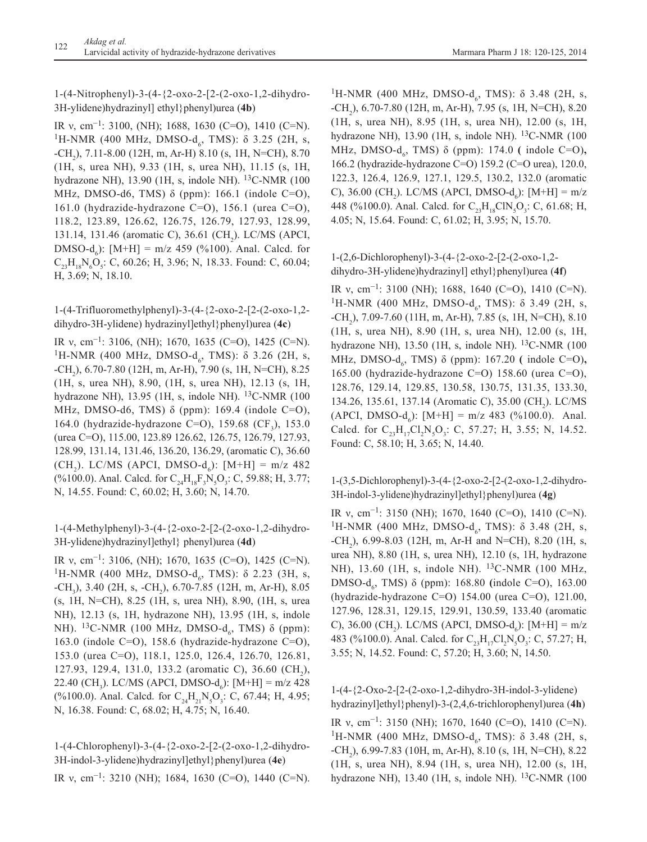1-(4-Nitrophenyl)-3-(4-{2-oxo-2-[2-(2-oxo-1,2-dihydro-3H-ylidene)hydrazinyl] ethyl}phenyl)urea (**4b**)

IR ν, cm−1: 3100, (NH); 1688, 1630 (C=O), 1410 (C=N). <sup>1</sup>H-NMR (400 MHz, DMSO-d<sub>6</sub>, TMS): δ 3.25 (2H, s, -CH2 ), 7.11-8.00 (12H, m, Ar-H) 8.10 (s, 1H, N=CH), 8.70 (1H, s, urea NH), 9.33 (1H, s, urea NH), 11.15 (s, 1H, hydrazone NH), 13.90 (1H, s, indole NH). <sup>13</sup>C-NMR (100 MHz, DMSO-d6, TMS) δ (ppm): 166.1 (indole C=O), 161.0 (hydrazide-hydrazone C=O), 156.1 (urea C=O), 118.2, 123.89, 126.62, 126.75, 126.79, 127.93, 128.99, 131.14, 131.46 (aromatic C), 36.61 (CH<sub>2</sub>). LC/MS (APCI,  $DMSO-d_6$ ):  $[M+H] = m/z$  459 (%100). Anal. Calcd. for  $C_{23}H_{18}N_{6}O_{5}$ : C, 60.26; H, 3.96; N, 18.33. Found: C, 60.04; H, 3.69; N, 18.10.

1-(4-Trifluoromethylphenyl)-3-(4-{2-oxo-2-[2-(2-oxo-1,2 dihydro-3H-ylidene) hydrazinyl]ethyl}phenyl)urea (**4c**)

IR v, cm<sup>-1</sup>: 3106, (NH); 1670, 1635 (C=O), 1425 (C=N). <sup>1</sup>H-NMR (400 MHz, DMSO-d<sub>6</sub>, TMS): δ 3.26 (2H, s, -CH2 ), 6.70-7.80 (12H, m, Ar-H), 7.90 (s, 1H, N=CH), 8.25 (1H, s, urea NH), 8.90, (1H, s, urea NH), 12.13 (s, 1H, hydrazone NH), 13.95 (1H, s, indole NH).  $^{13}$ C-NMR (100) MHz, DMSO-d6, TMS) δ (ppm): 169.4 (indole C=O), 164.0 (hydrazide-hydrazone C=O), 159.68  $(CF_3)$ , 153.0 (urea C=O), 115.00, 123.89 126.62, 126.75, 126.79, 127.93, 128.99, 131.14, 131.46, 136.20, 136.29, (aromatic C), 36.60 (CH<sub>2</sub>). LC/MS (APCI, DMSO-d<sub>6</sub>): [M+H] = m/z 482 (%100.0). Anal. Calcd. for  $C_{24}H_{18}F_3N_5O_3$ : C, 59.88; H, 3.77; N, 14.55. Found: C, 60.02; H, 3.60; N, 14.70.

1-(4-Methylphenyl)-3-(4-{2-oxo-2-[2-(2-oxo-1,2-dihydro-3H-ylidene)hydrazinyl]ethyl} phenyl)urea (**4d**)

IR ν, cm−1: 3106, (NH); 1670, 1635 (C=O), 1425 (C=N). <sup>1</sup>H-NMR (400 MHz, DMSO-d<sub>6</sub>, TMS): δ 2.23 (3H, s, -CH<sub>3</sub>), 3.40 (2H, s, -CH<sub>2</sub>), 6.70-7.85 (12H, m, Ar-H), 8.05 (s, 1H, N=CH), 8.25 (1H, s, urea NH), 8.90, (1H, s, urea NH), 12.13 (s, 1H, hydrazone NH), 13.95 (1H, s, indole NH). <sup>13</sup>C-NMR (100 MHz, DMSO-d<sub>6</sub>, TMS) δ (ppm): 163.0 (indole C=O), 158.6 (hydrazide-hydrazone C=O), 153.0 (urea C=O), 118.1, 125.0, 126.4, 126.70, 126.81, 127.93, 129.4, 131.0, 133.2 (aromatic C), 36.60 (CH<sub>2</sub>), 22.40 (CH<sub>3</sub>). LC/MS (APCI, DMSO-d<sub>6</sub>): [M+H] = m/z 428 (%100.0). Anal. Calcd. for  $C_{24}H_{21}N_{5}O_{3}$ : C, 67.44; H, 4.95; N, 16.38. Found: C, 68.02; H, 4.75; N, 16.40.

1-(4-Chlorophenyl)-3-(4-{2-oxo-2-[2-(2-oxo-1,2-dihydro-3H-indol-3-ylidene)hydrazinyl]ethyl}phenyl)urea (**4e**) IR ν, cm−1: 3210 (NH); 1684, 1630 (C=O), 1440 (C=N).

<sup>1</sup>H-NMR (400 MHz, DMSO-d<sub>6</sub>, TMS): δ 3.48 (2H, s, -CH2 ), 6.70-7.80 (12H, m, Ar-H), 7.95 (s, 1H, N=CH), 8.20 (1H, s, urea NH), 8.95 (1H, s, urea NH), 12.00 (s, 1H, hydrazone NH), 13.90 (1H, s, indole NH). 13C-NMR (100 MHz, DMSO-d<sub>6</sub>, TMS) δ (ppm): 174.0 ( indole C=O), 166.2 (hydrazide-hydrazone C=O) 159.2 (C=O urea), 120.0, 122.3, 126.4, 126.9, 127.1, 129.5, 130.2, 132.0 (aromatic C), 36.00 (CH<sub>2</sub>). LC/MS (APCI, DMSO-d<sub>6</sub>): [M+H] = m/z 448 (%100.0). Anal. Calcd. for  $C_{23}H_{18}CIN_{5}O_{3}$ : C, 61.68; H, 4.05; N, 15.64. Found: C, 61.02; H, 3.95; N, 15.70.

# 1-(2,6-Dichlorophenyl)-3-(4-{2-oxo-2-[2-(2-oxo-1,2 dihydro-3H-ylidene)hydrazinyl] ethyl}phenyl)urea (**4f**)

IR ν, cm−1: 3100 (NH); 1688, 1640 (C=O), 1410 (C=N). <sup>1</sup>H-NMR (400 MHz, DMSO-d<sub>6</sub>, TMS): δ 3.49 (2H, s, -CH<sub>2</sub>), 7.09-7.60 (11H, m, Ar-H), 7.85 (s, 1H, N=CH), 8.10 (1H, s, urea NH), 8.90 (1H, s, urea NH), 12.00 (s, 1H, hydrazone NH), 13.50 (1H, s, indole NH). 13C-NMR (100 MHz, DMSO-d<sub>6</sub>, TMS) δ (ppm): 167.20 ( indole C=O), 165.00 (hydrazide-hydrazone C=O) 158.60 (urea C=O), 128.76, 129.14, 129.85, 130.58, 130.75, 131.35, 133.30, 134.26, 135.61, 137.14 (Aromatic C), 35.00 (CH<sub>2</sub>). LC/MS (APCI, DMSO- $d_6$ ): [M+H] = m/z 483 (%100.0). Anal. Calcd. for  $C_{23}H_{17}Cl_2N_5O_3$ : C, 57.27; H, 3.55; N, 14.52. Found: C, 58.10; H, 3.65; N, 14.40.

1-(3,5-Dichlorophenyl)-3-(4-{2-oxo-2-[2-(2-oxo-1,2-dihydro-3H-indol-3-ylidene)hydrazinyl]ethyl}phenyl)urea (**4g**)

IR ν, cm−1: 3150 (NH); 1670, 1640 (C=O), 1410 (C=N). <sup>1</sup>H-NMR (400 MHz, DMSO-d<sub>6</sub>, TMS): δ 3.48 (2H, s,  $-CH<sub>2</sub>$ ), 6.99-8.03 (12H, m, Ar-H and N=CH), 8.20 (1H, s, urea NH), 8.80 (1H, s, urea NH), 12.10 (s, 1H, hydrazone NH), 13.60 (1H, s, indole NH). <sup>13</sup>C-NMR (100 MHz, DMSO-d<sub>6</sub>, TMS) δ (ppm): 168.80 (indole C=O), 163.00 (hydrazide-hydrazone C=O) 154.00 (urea C=O), 121.00, 127.96, 128.31, 129.15, 129.91, 130.59, 133.40 (aromatic C), 36.00 (CH<sub>2</sub>). LC/MS (APCI, DMSO-d<sub>6</sub>): [M+H] = m/z 483 (%100.0). Anal. Calcd. for  $C_{23}H_{17}Cl_2N_5O_3$ : C, 57.27; H, 3.55; N, 14.52. Found: C, 57.20; H, 3.60; N, 14.50.

1-(4-{2-Oxo-2-[2-(2-oxo-1,2-dihydro-3H-indol-3-ylidene) hydrazinyl]ethyl}phenyl)-3-(2,4,6-trichlorophenyl)urea (**4h**) IR ν, cm−1: 3150 (NH); 1670, 1640 (C=O), 1410 (C=N). <sup>1</sup>H-NMR (400 MHz, DMSO-d<sub>6</sub>, TMS): δ 3.48 (2H, s, -CH2 ), 6.99-7.83 (10H, m, Ar-H), 8.10 (s, 1H, N=CH), 8.22 (1H, s, urea NH), 8.94 (1H, s, urea NH), 12.00 (s, 1H, hydrazone NH), 13.40 (1H, s, indole NH).  $^{13}$ C-NMR (100)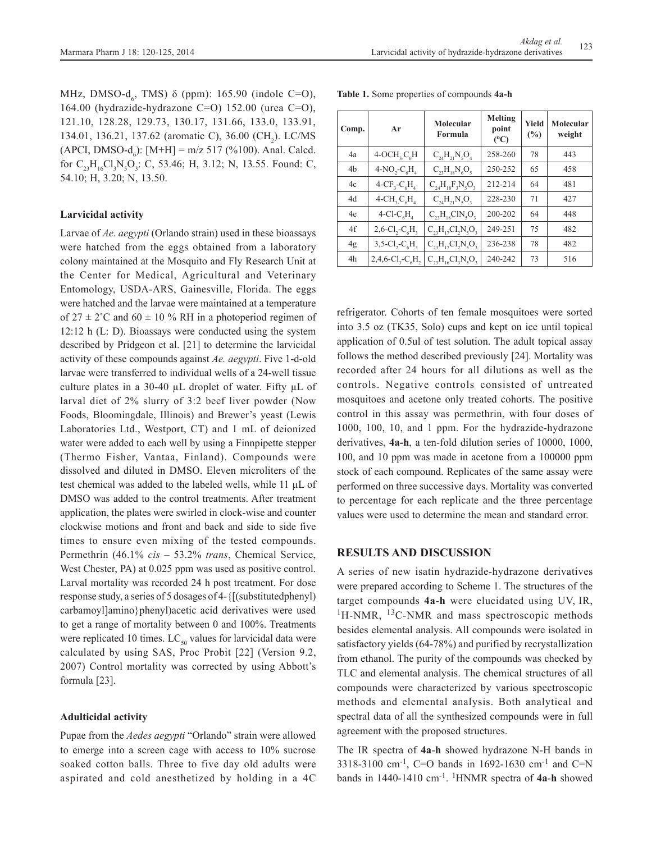MHz, DMSO- $d_6$ , TMS) δ (ppm): 165.90 (indole C=O), 164.00 (hydrazide-hydrazone C=O) 152.00 (urea C=O), 121.10, 128.28, 129.73, 130.17, 131.66, 133.0, 133.91, 134.01, 136.21, 137.62 (aromatic C), 36.00 (CH<sub>2</sub>). LC/MS  $(APCI, DMSO-d_6): [M+H] = m/z 517 (%100).$  Anal. Calcd. for  $C_{23}H_{16}Cl_3N_5O_3$ : C, 53.46; H, 3.12; N, 13.55. Found: C, 54.10; H, 3.20; N, 13.50.

## **Larvicidal activity**

Larvae of *Ae. aegypti* (Orlando strain) used in these bioassays were hatched from the eggs obtained from a laboratory colony maintained at the Mosquito and Fly Research Unit at the Center for Medical, Agricultural and Veterinary Entomology, USDA-ARS, Gainesville, Florida. The eggs were hatched and the larvae were maintained at a temperature of  $27 \pm 2$ °C and  $60 \pm 10$  % RH in a photoperiod regimen of 12:12 h (L: D). Bioassays were conducted using the system described by Pridgeon et al. [21] to determine the larvicidal activity of these compounds against *Ae. aegypti*. Five 1-d-old larvae were transferred to individual wells of a 24-well tissue culture plates in a 30-40 µL droplet of water. Fifty µL of larval diet of 2% slurry of 3:2 beef liver powder (Now Foods, Bloomingdale, Illinois) and Brewer's yeast (Lewis Laboratories Ltd., Westport, CT) and 1 mL of deionized water were added to each well by using a Finnpipette stepper (Thermo Fisher, Vantaa, Finland). Compounds were dissolved and diluted in DMSO. Eleven microliters of the test chemical was added to the labeled wells, while 11 µL of DMSO was added to the control treatments. After treatment application, the plates were swirled in clock-wise and counter clockwise motions and front and back and side to side five times to ensure even mixing of the tested compounds. Permethrin (46.1% *cis* – 53.2% *trans*, Chemical Service, West Chester, PA) at  $0.025$  ppm was used as positive control. Larval mortality was recorded 24 h post treatment. For dose response study, a series of 5 dosages of 4-{[(substitutedphenyl) carbamoyl]amino}phenyl)acetic acid derivatives were used to get a range of mortality between 0 and 100%. Treatments were replicated 10 times.  $LC_{50}$  values for larvicidal data were calculated by using SAS, Proc Probit [22] (Version 9.2, 2007) Control mortality was corrected by using Abbott's formula [23].

#### **Adulticidal activity**

Pupae from the *Aedes aegypti* "Orlando" strain were allowed to emerge into a screen cage with access to 10% sucrose soaked cotton balls. Three to five day old adults were aspirated and cold anesthetized by holding in a 4C

| Comp. | Ar                                                      | Molecular<br>Formula          | <b>Melting</b><br>point<br>$(^{0}C)$ | <b>Yield</b><br>(%) | Molecular<br>weight |
|-------|---------------------------------------------------------|-------------------------------|--------------------------------------|---------------------|---------------------|
| 4a    | $4-OCH, C/H$                                            | $C_{24}H_{21}N_5O_4$          | 258-260                              | 78                  | 443                 |
| 4b    | $4-NO2-C6H4$                                            | $C_{23}H_{18}N_6O_5$          | 250-252                              | 65                  | 458                 |
| 4c    | $4-CF_3-C_6H_4$                                         | $C_{24}H_{18}F_{3}N_{5}O_{3}$ | 212-214                              | 64                  | 481                 |
| 4d    | $4$ -CH <sub>2</sub> C <sub>6</sub> H <sub>4</sub>      | $C_{24}H_{21}N_{5}O_{3}$      | 228-230                              | 71                  | 427                 |
| 4e    | 4-Cl-C <sub><math>6H</math></sub>                       | $C_{23}H_{18}CIN_{5}O_{3}$    | 200-202                              | 64                  | 448                 |
| 4f    | $2,6$ -Cl <sub>2</sub> -C <sub>c</sub> H <sub>2</sub>   | $C_{23}H_{17}Cl_2N_5O_3$      | 249-251                              | 75                  | 482                 |
| 4g    | $3,5$ -Cl <sub>2</sub> -C <sub>6</sub> H <sub>3</sub>   | $C_{23}H_{17}Cl_2N_5O_3$      | 236-238                              | 78                  | 482                 |
| 4h    | $2,4,6$ -Cl <sub>3</sub> -C <sub>6</sub> H <sub>2</sub> | $C_{23}H_{16}Cl_3N_5O_3$      | 240-242                              | 73                  | 516                 |

**Table 1.** Some properties of compounds **4a-h**

refrigerator. Cohorts of ten female mosquitoes were sorted into 3.5 oz (TK35, Solo) cups and kept on ice until topical application of 0.5ul of test solution. The adult topical assay follows the method described previously [24]. Mortality was recorded after 24 hours for all dilutions as well as the controls. Negative controls consisted of untreated mosquitoes and acetone only treated cohorts. The positive control in this assay was permethrin, with four doses of 1000, 100, 10, and 1 ppm. For the hydrazide-hydrazone derivatives, **4a-h**, a ten-fold dilution series of 10000, 1000, 100, and 10 ppm was made in acetone from a 100000 ppm stock of each compound. Replicates of the same assay were performed on three successive days. Mortality was converted to percentage for each replicate and the three percentage values were used to determine the mean and standard error.

## **RESULTS AND DISCUSSION**

A series of new isatin hydrazide-hydrazone derivatives were prepared according to Scheme 1. The structures of the target compounds **4a**-**h** were elucidated using UV, IR,  ${}^{1}$ H-NMR,  ${}^{13}$ C-NMR and mass spectroscopic methods besides elemental analysis. All compounds were isolated in satisfactory yields (64-78%) and purified by recrystallization from ethanol. The purity of the compounds was checked by TLC and elemental analysis. The chemical structures of all compounds were characterized by various spectroscopic methods and elemental analysis. Both analytical and spectral data of all the synthesized compounds were in full agreement with the proposed structures.

The IR spectra of **4a**-**h** showed hydrazone N-H bands in 3318-3100 cm-1, C=O bands in 1692-1630 cm-1 and C=N bands in 1440-1410 cm-1. 1HNMR spectra of **4a**-**h** showed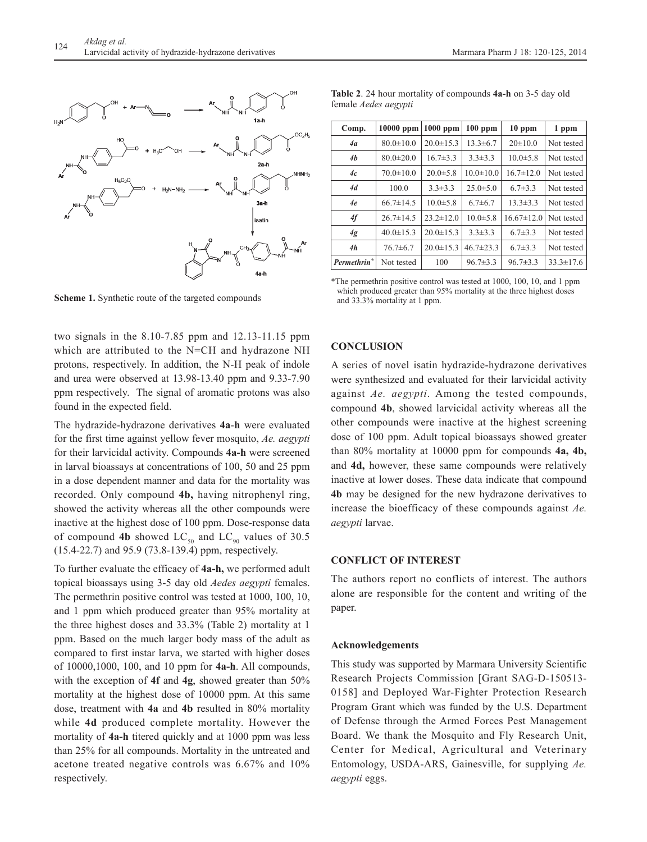

Scheme 1. Synthetic route of the targeted compounds and 33.3% mortality at 1 ppm.

two signals in the 8.10-7.85 ppm and 12.13-11.15 ppm which are attributed to the N=CH and hydrazone NH protons, respectively. In addition, the N-H peak of indole and urea were observed at 13.98-13.40 ppm and 9.33-7.90 ppm respectively. The signal of aromatic protons was also found in the expected field.

The hydrazide-hydrazone derivatives **4a**-**h** were evaluated for the first time against yellow fever mosquito, *Ae. aegypti*  for their larvicidal activity. Compounds **4a-h** were screened in larval bioassays at concentrations of 100, 50 and 25 ppm in a dose dependent manner and data for the mortality was recorded. Only compound **4b,** having nitrophenyl ring, showed the activity whereas all the other compounds were inactive at the highest dose of 100 ppm. Dose-response data of compound 4b showed  $LC_{50}$  and  $LC_{90}$  values of 30.5 (15.4-22.7) and 95.9 (73.8-139.4) ppm, respectively.

To further evaluate the efficacy of **4a-h,** we performed adult topical bioassays using 3-5 day old *Aedes aegypti* females. The permethrin positive control was tested at 1000, 100, 10, and 1 ppm which produced greater than 95% mortality at the three highest doses and 33.3% (Table 2) mortality at 1 ppm. Based on the much larger body mass of the adult as compared to first instar larva, we started with higher doses of 10000,1000, 100, and 10 ppm for **4a-h**. All compounds, with the exception of **4f** and **4g**, showed greater than 50% mortality at the highest dose of 10000 ppm. At this same dose, treatment with **4a** and **4b** resulted in 80% mortality while **4d** produced complete mortality. However the mortality of **4a-h** titered quickly and at 1000 ppm was less than 25% for all compounds. Mortality in the untreated and acetone treated negative controls was 6.67% and 10% respectively.

| Comp.                   | 10000 ppm       | $1000$ ppm      | $100$ ppm       | $10$ ppm         | 1 ppm           |
|-------------------------|-----------------|-----------------|-----------------|------------------|-----------------|
| 4a                      | $80.0 \pm 10.0$ | $20.0 \pm 15.3$ | $13.3 \pm 6.7$  | $20 \pm 10.0$    | Not tested      |
| 4b                      | $80.0 \pm 20.0$ | $16.7\pm3.3$    | $3.3 \pm 3.3$   | $10.0 \pm 5.8$   | Not tested      |
| 4c                      | $70.0 \pm 10.0$ | $20.0 \pm 5.8$  | $10.0 \pm 10.0$ | $16.7 \pm 12.0$  | Not tested      |
| 4d                      | 100.0           | $3.3 \pm 3.3$   | $25.0 \pm 5.0$  | $6.7\pm3.3$      | Not tested      |
| 4e                      | $66.7 \pm 14.5$ | $10.0 \pm 5.8$  | $6.7\pm 6.7$    | $13.3 \pm 3.3$   | Not tested      |
| 4f                      | $26.7 \pm 14.5$ | $23.2 \pm 12.0$ | $10.0 \pm 5.8$  | $16.67 \pm 12.0$ | Not tested      |
| 4g                      | $40.0 \pm 15.3$ | $20.0 \pm 15.3$ | $3.3 \pm 3.3$   | $6.7\pm3.3$      | Not tested      |
| 4h                      | $76.7 \pm 6.7$  | $20.0 \pm 15.3$ | $46.7 \pm 23.3$ | $6.7\pm3.3$      | Not tested      |
| Permethrin <sup>*</sup> | Not tested      | 100             | $96.7 \pm 3.3$  | $96.7 \pm 3.3$   | $33.3 \pm 17.6$ |

**Table 2**. 24 hour mortality of compounds **4a-h** on 3-5 day old female *Aedes aegypti*

\*The permethrin positive control was tested at 1000, 100, 10, and 1 ppm

## **CONCLUSION**

A series of novel isatin hydrazide-hydrazone derivatives were synthesized and evaluated for their larvicidal activity against *Ae. aegypti*. Among the tested compounds, compound **4b**, showed larvicidal activity whereas all the other compounds were inactive at the highest screening dose of 100 ppm. Adult topical bioassays showed greater than 80% mortality at 10000 ppm for compounds **4a, 4b,**  and **4d,** however, these same compounds were relatively inactive at lower doses. These data indicate that compound **4b** may be designed for the new hydrazone derivatives to increase the bioefficacy of these compounds against *Ae. aegypti* larvae.

# **CONFLICT OF INTEREST**

The authors report no conflicts of interest. The authors alone are responsible for the content and writing of the paper.

### **Acknowledgements**

This study was supported by Marmara University Scientific Research Projects Commission [Grant SAG-D-150513- 0158] and Deployed War-Fighter Protection Research Program Grant which was funded by the U.S. Department of Defense through the Armed Forces Pest Management Board. We thank the Mosquito and Fly Research Unit, Center for Medical, Agricultural and Veterinary Entomology, USDA-ARS, Gainesville, for supplying *Ae. aegypti* eggs.